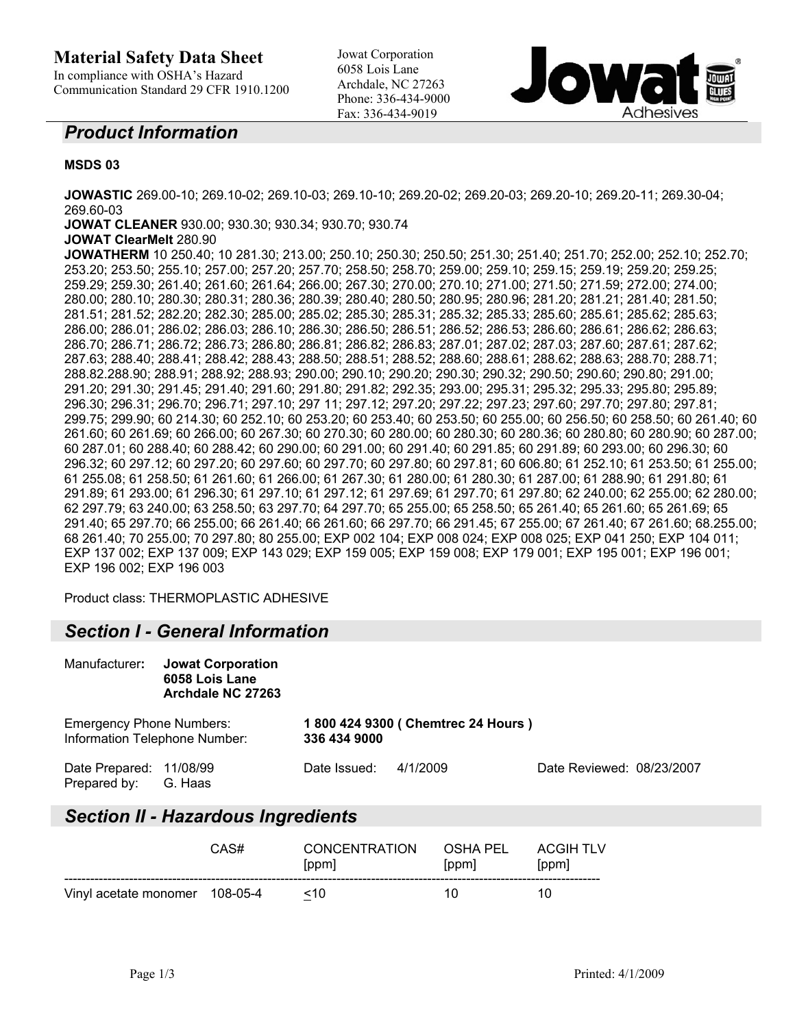### **Material Safety Data Sheet**

In compliance with OSHA's Hazard Communication Standard 29 CFR 1910.1200 Jowat Corporation 6058 Lois Lane Archdale, NC 27263 Phone: 336-434-9000 Fax: 336-434-9019



#### *Product Information*

#### **MSDS 03**

**JOWASTIC** 269.00-10; 269.10-02; 269.10-03; 269.10-10; 269.20-02; 269.20-03; 269.20-10; 269.20-11; 269.30-04; 269.60-03

**JOWAT CLEANER** 930.00; 930.30; 930.34; 930.70; 930.74

#### **JOWAT ClearMelt** 280.90

**JOWATHERM** 10 250.40; 10 281.30; 213.00; 250.10; 250.30; 250.50; 251.30; 251.40; 251.70; 252.00; 252.10; 252.70; 253.20; 253.50; 255.10; 257.00; 257.20; 257.70; 258.50; 258.70; 259.00; 259.10; 259.15; 259.19; 259.20; 259.25; 259.29; 259.30; 261.40; 261.60; 261.64; 266.00; 267.30; 270.00; 270.10; 271.00; 271.50; 271.59; 272.00; 274.00; 280.00; 280.10; 280.30; 280.31; 280.36; 280.39; 280.40; 280.50; 280.95; 280.96; 281.20; 281.21; 281.40; 281.50; 281.51; 281.52; 282.20; 282.30; 285.00; 285.02; 285.30; 285.31; 285.32; 285.33; 285.60; 285.61; 285.62; 285.63; 286.00; 286.01; 286.02; 286.03; 286.10; 286.30; 286.50; 286.51; 286.52; 286.53; 286.60; 286.61; 286.62; 286.63; 286.70; 286.71; 286.72; 286.73; 286.80; 286.81; 286.82; 286.83; 287.01; 287.02; 287.03; 287.60; 287.61; 287.62; 287.63; 288.40; 288.41; 288.42; 288.43; 288.50; 288.51; 288.52; 288.60; 288.61; 288.62; 288.63; 288.70; 288.71; 288.82.288.90; 288.91; 288.92; 288.93; 290.00; 290.10; 290.20; 290.30; 290.32; 290.50; 290.60; 290.80; 291.00; 291.20; 291.30; 291.45; 291.40; 291.60; 291.80; 291.82; 292.35; 293.00; 295.31; 295.32; 295.33; 295.80; 295.89; 296.30; 296.31; 296.70; 296.71; 297.10; 297 11; 297.12; 297.20; 297.22; 297.23; 297.60; 297.70; 297.80; 297.81; 299.75; 299.90; 60 214.30; 60 252.10; 60 253.20; 60 253.40; 60 253.50; 60 255.00; 60 256.50; 60 258.50; 60 261.40; 60 261.60; 60 261.69; 60 266.00; 60 267.30; 60 270.30; 60 280.00; 60 280.30; 60 280.36; 60 280.80; 60 280.90; 60 287.00; 60 287.01; 60 288.40; 60 288.42; 60 290.00; 60 291.00; 60 291.40; 60 291.85; 60 291.89; 60 293.00; 60 296.30; 60 296.32; 60 297.12; 60 297.20; 60 297.60; 60 297.70; 60 297.80; 60 297.81; 60 606.80; 61 252.10; 61 253.50; 61 255.00; 61 255.08; 61 258.50; 61 261.60; 61 266.00; 61 267.30; 61 280.00; 61 280.30; 61 287.00; 61 288.90; 61 291.80; 61 291.89; 61 293.00; 61 296.30; 61 297.10; 61 297.12; 61 297.69; 61 297.70; 61 297.80; 62 240.00; 62 255.00; 62 280.00; 62 297.79; 63 240.00; 63 258.50; 63 297.70; 64 297.70; 65 255.00; 65 258.50; 65 261.40; 65 261.60; 65 261.69; 65 291.40; 65 297.70; 66 255.00; 66 261.40; 66 261.60; 66 297.70; 66 291.45; 67 255.00; 67 261.40; 67 261.60; 68.255.00; 68 261.40; 70 255.00; 70 297.80; 80 255.00; EXP 002 104; EXP 008 024; EXP 008 025; EXP 041 250; EXP 104 011; EXP 137 002; EXP 137 009; EXP 143 029; EXP 159 005; EXP 159 008; EXP 179 001; EXP 195 001; EXP 196 001; EXP 196 002; EXP 196 003

Product class: THERMOPLASTIC ADHESIVE

### *Section I - General Information*

| Manufacturer:                           | <b>Jowat Corporation</b><br>6058 Lois Lane<br>Archdale NC 27263 |              |                                   |                           |  |
|-----------------------------------------|-----------------------------------------------------------------|--------------|-----------------------------------|---------------------------|--|
| <b>Emergency Phone Numbers:</b>         | Information Telephone Number:                                   | 336 434 9000 | 1800 424 9300 (Chemtrec 24 Hours) |                           |  |
| Date Prepared: 11/08/99<br>Prepared by: | G. Haas                                                         | Date Issued: | 4/1/2009                          | Date Reviewed: 08/23/2007 |  |

# *Section II - Hazardous Ingredients*

|                                | CAS# | <b>CONCENTRATION</b><br>[ppm] | OSHA PEL<br>[ppm] | ACGIH TLV<br>[ppm] |
|--------------------------------|------|-------------------------------|-------------------|--------------------|
| Vinyl acetate monomer 108-05-4 |      | ~10                           | 10                | 10                 |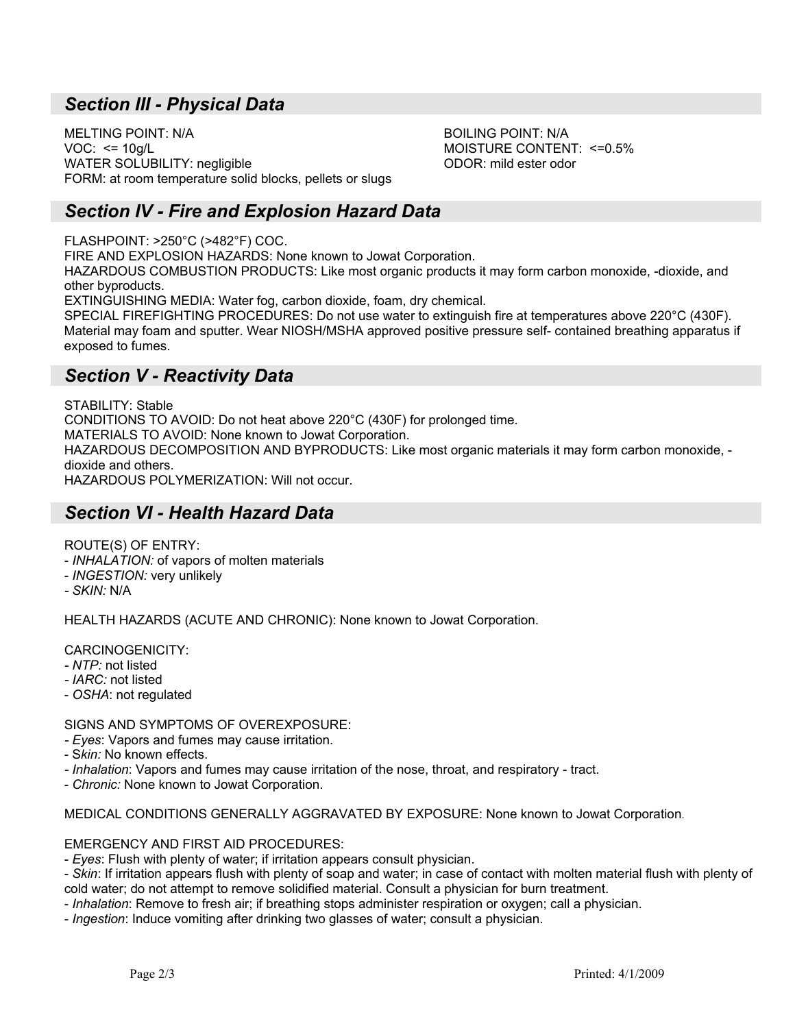# *Section III - Physical Data*

MELTING POINT: N/A BOILING POINT: N/A VOC: <= 10g/L MOISTURE CONTENT: <=0.5% WATER SOLUBILITY: negligible **ODOR:** mild ester odor FORM: at room temperature solid blocks, pellets or slugs

# *Section IV - Fire and Explosion Hazard Data*

FLASHPOINT: >250°C (>482°F) COC.

FIRE AND EXPLOSION HAZARDS: None known to Jowat Corporation.

HAZARDOUS COMBUSTION PRODUCTS: Like most organic products it may form carbon monoxide, -dioxide, and other byproducts.

EXTINGUISHING MEDIA: Water fog, carbon dioxide, foam, dry chemical.

SPECIAL FIREFIGHTING PROCEDURES: Do not use water to extinguish fire at temperatures above 220°C (430F). Material may foam and sputter. Wear NIOSH/MSHA approved positive pressure self- contained breathing apparatus if exposed to fumes.

#### *Section V - Reactivity Data*

STABILITY: Stable CONDITIONS TO AVOID: Do not heat above 220°C (430F) for prolonged time. MATERIALS TO AVOID: None known to Jowat Corporation. HAZARDOUS DECOMPOSITION AND BYPRODUCTS: Like most organic materials it may form carbon monoxide, dioxide and others. HAZARDOUS POLYMERIZATION: Will not occur.

# *Section VI - Health Hazard Data*

ROUTE(S) OF ENTRY:

- *INHALATION:* of vapors of molten materials
- *INGESTION:* very unlikely
- *SKIN:* N/A

HEALTH HAZARDS (ACUTE AND CHRONIC): None known to Jowat Corporation.

CARCINOGENICITY:

*- NTP:* not listed

*- IARC:* not listed

- *OSHA*: not regulated

SIGNS AND SYMPTOMS OF OVEREXPOSURE:

- *Eyes*: Vapors and fumes may cause irritation.
- S*kin:* No known effects.

*- Inhalation*: Vapors and fumes may cause irritation of the nose, throat, and respiratory - tract.

- *Chronic:* None known to Jowat Corporation.

MEDICAL CONDITIONS GENERALLY AGGRAVATED BY EXPOSURE: None known to Jowat Corporation.

EMERGENCY AND FIRST AID PROCEDURES:

- *Eyes*: Flush with plenty of water; if irritation appears consult physician.

- *Skin*: If irritation appears flush with plenty of soap and water; in case of contact with molten material flush with plenty of cold water; do not attempt to remove solidified material. Consult a physician for burn treatment.

- *Inhalation*: Remove to fresh air; if breathing stops administer respiration or oxygen; call a physician.

- *Ingestion*: Induce vomiting after drinking two glasses of water; consult a physician.